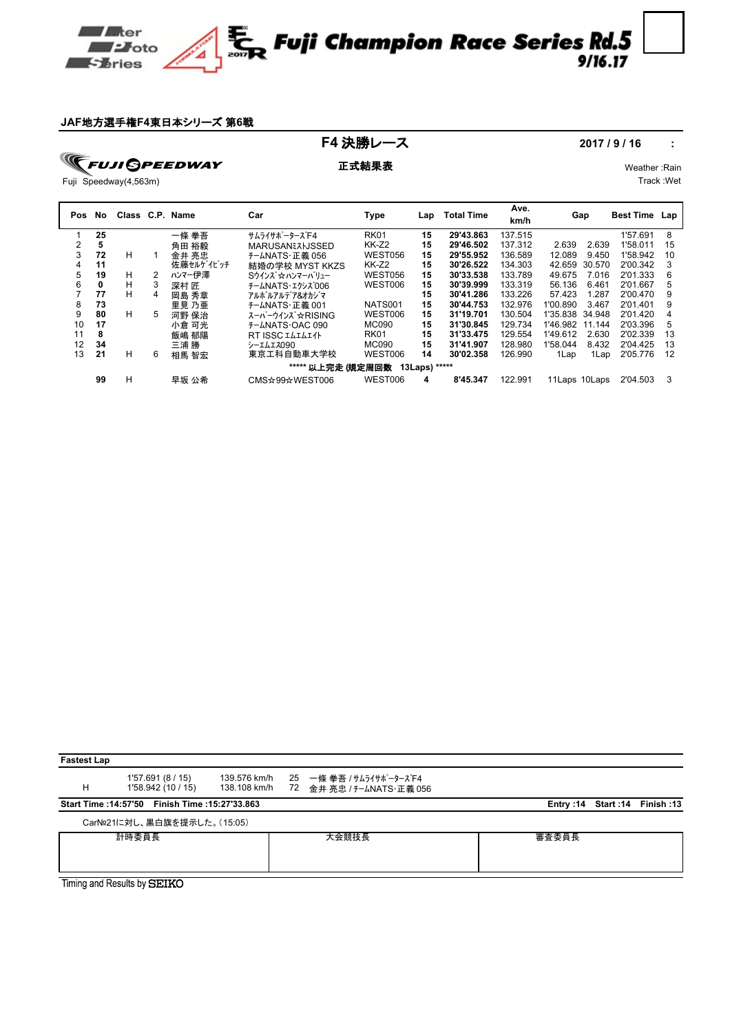

## **JAF**地方選手権**F4**東日本シリーズ 第**6**戦

**F4 決勝レース** 2017/9/16 :

**FUJI GPEEDWAY** 

正式結果表 Weather :Rain

Track :Wet

Fuji Speedway(4,563m)

| Pos | No. |    |   | Class C.P. Name | Car                                      | Type           | Lap             | <b>Total Time</b> | Ave.<br>km/h | Gap             |        | <b>Best Time</b> | Lap |
|-----|-----|----|---|-----------------|------------------------------------------|----------------|-----------------|-------------------|--------------|-----------------|--------|------------------|-----|
|     | 25  |    |   | 一條 拳吾           | サムライサポ <sup>°</sup> ータース <sup>*</sup> F4 | <b>RK01</b>    | 15              | 29'43.863         | 137.515      |                 |        | 1'57.691         | 8   |
| ◠   | 5   |    |   | 角田 裕毅           | <b>MARUSANEZHJSSED</b>                   | <b>KK-Z2</b>   | 15              | 29'46.502         | 137.312      | 2.639           | 2.639  | 1'58.011         | 15  |
| 3   | 72  | н  |   | 金井 亮忠           | チームNATS・正義 056                           | <b>WEST056</b> | 15              | 29'55.952         | 136.589      | 12.089          | 9.450  | 1'58.942         | 10  |
| 4   | 11  |    |   | 佐藤セルゲイビッチ       | 結婚の学校 MYST KKZS                          | KK-Z2          | 15              | 30'26.522         | 134.303      | 42.659          | 30.570 | 2'00.342         | 3   |
| 5   | 19  | н  | 2 | ハンマー伊澤          | Sウインズ ☆ ハンマーバリュー                         | WEST056        | 15              | 30'33.538         | 133.789      | 49.675          | 7.016  | 2'01.333         | 6   |
| 6   | 0   | н  | 3 | 深村 匠            | チームNATS·エクシス 006                         | WEST006        | 15              | 30'39.999         | 133.319      | 56.136          | 6.461  | 2'01.667         | 5   |
|     | 77  | н  | 4 | 岡島 秀章           | アルボルアルデア&オカジマ                            |                | 15              | 30'41.286         | 133.226      | 57.423          | 1.287  | 2'00.470         | 9   |
| 8   | 73  |    |   | 里見 乃亜           | チームNATS・正義 001                           | <b>NATS001</b> | 15              | 30'44.753         | 132.976      | 1'00.890        | 3.467  | 2'01.401         | 9   |
| 9   | 80  | H. | 5 | 河野 保治           | スーパーウインズ ☆RISING                         | WEST006        | 15              | 31'19.701         | 130.504      | 1'35.838        | 34.948 | 2'01.420         | 4   |
| 10  | 17  |    |   | 小倉 可光           | <b>F-LNATS OAC 090</b>                   | <b>MC090</b>   | 15              | 31'30.845         | 129.734      | 1'46.982        | 11.144 | 2'03.396         | 5   |
| 11  | 8   |    |   | 飯嶋 郁陽           | RT ISSC ILILITH                          | <b>RK01</b>    | 15              | 31'33.475         | 129.554      | 1'49.612        | 2.630  | 2'02.339         | 13  |
| 12  | 34  |    |   | 三浦 勝            | シーエムエス090                                | MC090          | 15              | 31'41.907         | 128.980      | 1'58.044        | 8.432  | 2'04.425         | 13  |
| 13  | 21  | н  | 6 | 相馬 智宏           | 東京工科自動車大学校                               | WEST006        | 14              | 30'02.358         | 126.990      | 1Lap            | 1Lap   | 2'05.776         | 12  |
|     |     |    |   |                 | ***** 以上完走 (規定周回数                        |                | $13Laps)$ ***** |                   |              |                 |        |                  |     |
|     | 99  | н  |   | 早坂 公希           | CMS☆99☆WEST006                           | WEST006        | 4               | 8'45.347          | 122.991      | 11 Laps 10 Laps |        | 2'04.503         | 3   |

| <b>Fastest Lap</b> |                                                |  |                                                                                  |       |                                |
|--------------------|------------------------------------------------|--|----------------------------------------------------------------------------------|-------|--------------------------------|
| н                  | 1'57.691(8/15)<br>1'58.942 (10 / 15)           |  | 139.576 km/h 25 一條拳吾 / サムライサポーターズF4<br>138.108 km/h   72  金井 亮忠 / チームNATS・正義 056 |       |                                |
|                    | Start Time: 14:57'50 Finish Time: 15:27'33.863 |  |                                                                                  |       | Entry: 14 Start: 14 Finish: 13 |
|                    | CarN <sup>o</sup> 21に対し、黒白旗を提示した。(15:05)       |  |                                                                                  |       |                                |
|                    | 計時委員長                                          |  | 大会競技長                                                                            | 審査委員長 |                                |
|                    |                                                |  |                                                                                  |       |                                |
|                    |                                                |  |                                                                                  |       |                                |
|                    | Timing and Results by SEIKO                    |  |                                                                                  |       |                                |